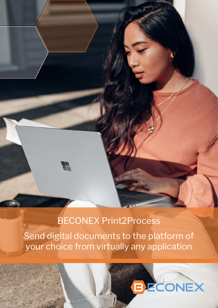# $\mathbb{Z}$

# BECONEX Print2Process

Send digital documents to the platform of your choice from virtually any application

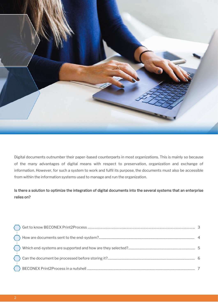

Digital documents outnumber their paper-based counterparts in most organizations. This is mainly so because of the many advantages of digital means with respect to preservation, organization and exchange of information. However, for such a system to work and fulfil its purpose, the documents must also be accessible from within the information systems used to manage and run the organization.

## Is there a solution to optimize the integration of digital documents into the several systems that an enterprise relies on?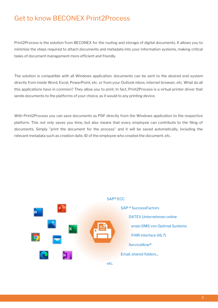# Get to know BECONEX Print2Process

Print2Process is the solution from BECONEX for the routing and storage of digital documents. It allows you to minimize the steps required to attach documents and metadata into your information systems, making critical tasks of document management more efficient and friendly.

The solution is compatible with all Windows application: documents can be sent to the desired end-system directly from inside Word, Excel, PowerPoint, etc. or from your Outlook inbox, internet browser, etc. What do all this applications have in common? They allow you to print. In fact, Print2Process is a virtual printer driver that sends documents to the platforms of your choice, as it would to any printing device.

With Print2Process you can save documents as PDF directly from the Windows application to the respective platform. This not only saves you time, but also means that every employee can contribute to the filing of documents. Simply "print the document for the process" and it will be saved automatically, including the relevant metadata such as creation date, ID of the employee who created the document, etc.

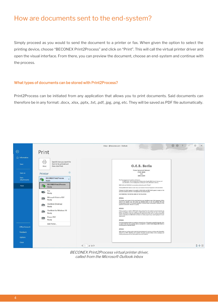# How are documents sent to the end-system?

Simply proceed as you would to send the document to a printer or fax. When given the option to select the printing device, choose "BECONEX Print2Process" and click on "Print". This will call the virtual printer driver and open the visual interface. From there, you can preview the document, choose an end-system and continue with the process.

### What types of documents can be stored with Print2Process?

Print2Process can be initiated from any application that allows you to print documents. Said documents can therefore be in any format: .docx, .xlsx, .pptx, .txt, .pdf, .jpg, .png, etc. They will be saved as PDF file automatically.



BECONEX Print2Process virtual printer driver, called from the Microsoft Outlook inbox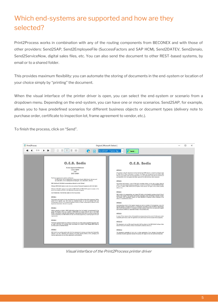# Which end-systems are supported and how are they selected?

Print2Process works in combination with any of the routing components from BECONEX and with those of other providers: Send2SAP, Send2EmployeeFile (SuccessFactors and SAP HCM), Send2DATEV, Send2enaio, Send2ServiceNow, digital sales files, etc. You can also send the document to other REST-based systems, by email or to a shared folder.

This provides maximum flexibility: you can automate the storing of documents in the end-system or location of your choice simply by "printing" the document.

When the visual interface of the printer driver is open, you can select the end-system or scenario from a dropdown menu. Depending on the end-system, you can have one or more scenarios. Send2SAP, for example, allows you to have predefined scenarios for different business objects or document types (delivery note to purchase order, certificate to inspection lot, frame agreement to vendor, etc.).

To finish the process, click on "Send".



Visual interface of the Print2Process printer driver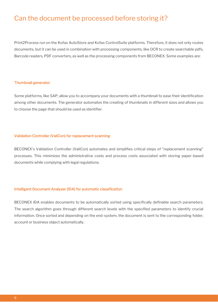# Can the document be processed before storing it?

Print2Process run on the Kofax AutoStore and Kofax ControlSuite platforms. Therefore, it does not only routes documents, but it can be used in combination with processing components, like OCR to create searchable pdfs, Barcode readers, PDF converters, as well as the processing components from BECONEX. Some examples are:

### Thumbnail generator

Some platforms, like SAP, allow you to accompany your documents with a thumbnail to ease their identification among other documents. The generator automates the creating of thumbnails in different sizes and allows you to choose the page that should be used as identifier.

### Validation Controller (ValiCon) for replacement scanning

BECONEX's Validation Controller (ValiCon) automates and simplifies critical steps of "replacement scanning" processes. This minimizes the administrative costs and process costs associated with storing paper-based documents while complying with legal regulations.

### Intelligent Document Analyzer (IDA) for automatic classification

BECONEX IDA enables documents to be automatically sorted using specifically definable search parameters. The search algorithm goes through different search levels with the specified parameters to identify crucial information. Once sorted and depending on the end-system, the document is sent to the corresponding folder, account or business object automatically.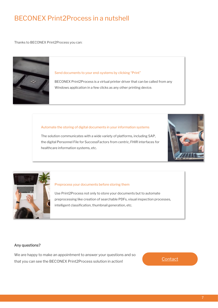# BECONEX Print2Process in a nutshell

Thanks to BECONEX Print2Process you can:



### Send documents to your end-systems by clicking "Print"

BECONEX Print2Process is a virtual printer driver that can be called from any Windows application in a few clicks as any other printing device.

### Automate the storing of digital documents in your information systems

The solution communicates with a wide variety of platforms, including SAP, the digital Personnel File for SuccessFactors from centric, FHIR interfaces for healthcare information systems, etc.





### Preprocess your documents before storing them

Use Print2Process not only to store your documents but to automate preprocessing like creation of searchable PDFs, visual inspection processes, intelligent classification, thumbnail generation, etc.

### Any questions?

We are happy to make an appointment to answer your questions and so that you can see the BECONEX Print2Process solution in action!